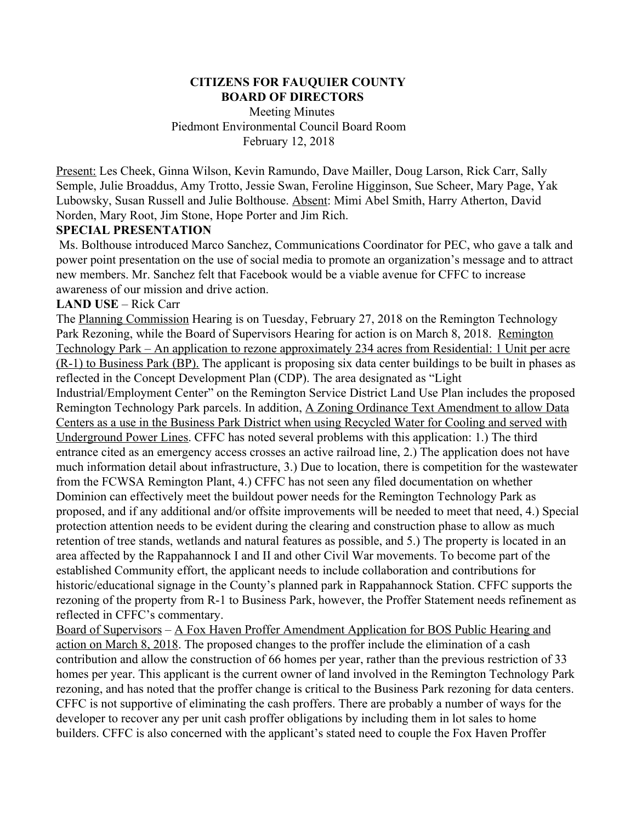## **CITIZENS FOR FAUQUIER COUNTY BOARD OF DIRECTORS**

 Meeting Minutes Piedmont Environmental Council Board Room February 12, 2018

Present: Les Cheek, Ginna Wilson, Kevin Ramundo, Dave Mailler, Doug Larson, Rick Carr, Sally Semple, Julie Broaddus, Amy Trotto, Jessie Swan, Feroline Higginson, Sue Scheer, Mary Page, Yak Lubowsky, Susan Russell and Julie Bolthouse. Absent: Mimi Abel Smith, Harry Atherton, David Norden, Mary Root, Jim Stone, Hope Porter and Jim Rich.

## **SPECIAL PRESENTATION**

 Ms. Bolthouse introduced Marco Sanchez, Communications Coordinator for PEC, who gave a talk and power point presentation on the use of social media to promote an organization's message and to attract new members. Mr. Sanchez felt that Facebook would be a viable avenue for CFFC to increase awareness of our mission and drive action.

## **LAND USE** – Rick Carr

The Planning Commission Hearing is on Tuesday, February 27, 2018 on the Remington Technology Park Rezoning, while the Board of Supervisors Hearing for action is on March 8, 2018. Remington Technology Park – An application to rezone approximately 234 acres from Residential: 1 Unit per acre (R-1) to Business Park (BP). The applicant is proposing six data center buildings to be built in phases as reflected in the Concept Development Plan (CDP). The area designated as "Light Industrial/Employment Center" on the Remington Service District Land Use Plan includes the proposed Remington Technology Park parcels. In addition, A Zoning Ordinance Text Amendment to allow Data Centers as a use in the Business Park District when using Recycled Water for Cooling and served with Underground Power Lines. CFFC has noted several problems with this application: 1.) The third entrance cited as an emergency access crosses an active railroad line, 2.) The application does not have much information detail about infrastructure, 3.) Due to location, there is competition for the wastewater from the FCWSA Remington Plant, 4.) CFFC has not seen any filed documentation on whether Dominion can effectively meet the buildout power needs for the Remington Technology Park as proposed, and if any additional and/or offsite improvements will be needed to meet that need, 4.) Special protection attention needs to be evident during the clearing and construction phase to allow as much retention of tree stands, wetlands and natural features as possible, and 5.) The property is located in an area affected by the Rappahannock I and II and other Civil War movements. To become part of the established Community effort, the applicant needs to include collaboration and contributions for historic/educational signage in the County's planned park in Rappahannock Station. CFFC supports the rezoning of the property from R-1 to Business Park, however, the Proffer Statement needs refinement as reflected in CFFC's commentary.

Board of Supervisors – A Fox Haven Proffer Amendment Application for BOS Public Hearing and action on March 8, 2018. The proposed changes to the proffer include the elimination of a cash contribution and allow the construction of 66 homes per year, rather than the previous restriction of 33 homes per year. This applicant is the current owner of land involved in the Remington Technology Park rezoning, and has noted that the proffer change is critical to the Business Park rezoning for data centers. CFFC is not supportive of eliminating the cash proffers. There are probably a number of ways for the developer to recover any per unit cash proffer obligations by including them in lot sales to home builders. CFFC is also concerned with the applicant's stated need to couple the Fox Haven Proffer